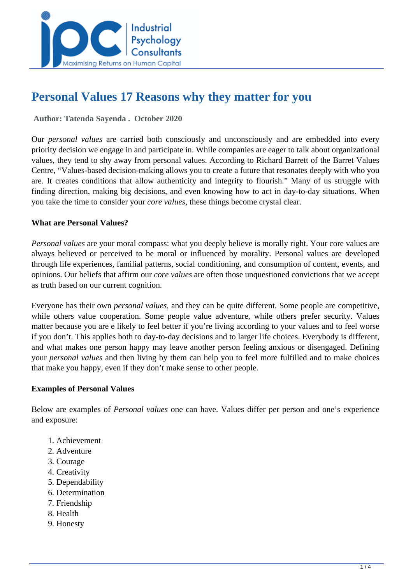

# **Personal Values 17 Reasons why they matter for you**

 **Author: Tatenda Sayenda . October 2020** 

Our *personal values* are carried both consciously and unconsciously and are embedded into every priority decision we engage in and participate in. While companies are eager to talk about organizational values, they tend to shy away from personal values. According to Richard Barrett of the Barret Values Centre, "Values-based decision-making allows you to create a future that resonates deeply with who you are. It creates conditions that allow authenticity and integrity to flourish." Many of us struggle with finding direction, making big decisions, and even knowing how to act in day-to-day situations. When you take the time to consider your *core values*, these things become crystal clear.

# **What are Personal Values?**

*Personal values* are your moral compass: what you deeply believe is morally right. Your core values are always believed or perceived to be moral or influenced by morality. Personal values are developed through life experiences, familial patterns, social conditioning, and consumption of content, events, and opinions. Our beliefs that affirm our *core values* are often those unquestioned convictions that we accept as truth based on our current cognition.

Everyone has their own *personal values*, and they can be quite different. Some people are competitive, while others value cooperation. Some people value adventure, while others prefer security. Values matter because you are e likely to feel better if you're living according to your values and to feel worse if you don't. This applies both to day-to-day decisions and to larger life choices. Everybody is different, and what makes one person happy may leave another person feeling anxious or disengaged. Defining your *personal values* and then living by them can help you to feel more fulfilled and to make choices that make you happy, even if they don't make sense to other people.

# **Examples of Personal Values**

Below are examples of *Personal values* one can have. Values differ per person and one's experience and exposure:

- 1. Achievement
- 2. Adventure
- 3. Courage
- 4. Creativity
- 5. Dependability
- 6. Determination
- 7. Friendship
- 8. Health
- 9. Honesty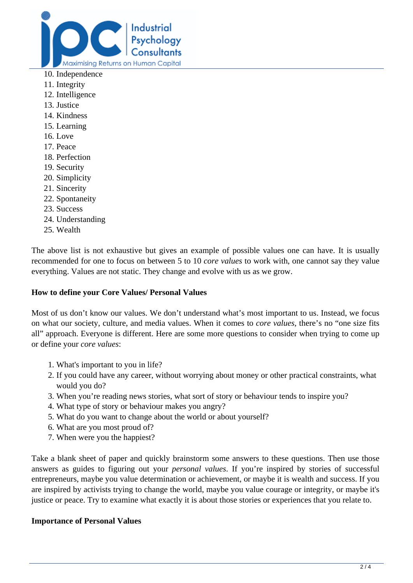

- 10. Independence
- 11. Integrity
- 12. Intelligence
- 13. Justice
- 14. Kindness
- 15. Learning
- 16. Love
- 17. Peace
- 18. Perfection
- 19. Security
- 20. Simplicity
- 21. Sincerity
- 22. Spontaneity
- 23. Success
- 24. Understanding
- 25. Wealth

The above list is not exhaustive but gives an example of possible values one can have. It is usually recommended for one to focus on between 5 to 10 *core values* to work with, one cannot say they value everything. Values are not static. They change and evolve with us as we grow.

### **How to define your Core Values/ Personal Values**

Most of us don't know our values. We don't understand what's most important to us. Instead, we focus on what our society, culture, and media values. When it comes to *core values*, there's no "one size fits all" approach. Everyone is different. Here are some more questions to consider when trying to come up or define your *core values*:

- 1. What's important to you in life?
- 2. If you could have any career, without worrying about money or other practical constraints, what would you do?
- 3. When you're reading news stories, what sort of story or behaviour tends to inspire you?
- 4. What type of story or behaviour makes you angry?
- 5. What do you want to change about the world or about yourself?
- 6. What are you most proud of?
- 7. When were you the happiest?

Take a blank sheet of paper and quickly brainstorm some answers to these questions. Then use those answers as guides to figuring out your *personal values*. If you're inspired by stories of successful entrepreneurs, maybe you value determination or achievement, or maybe it is wealth and success. If you are inspired by activists trying to change the world, maybe you value courage or integrity, or maybe it's justice or peace. Try to examine what exactly it is about those stories or experiences that you relate to.

# **Importance of Personal Values**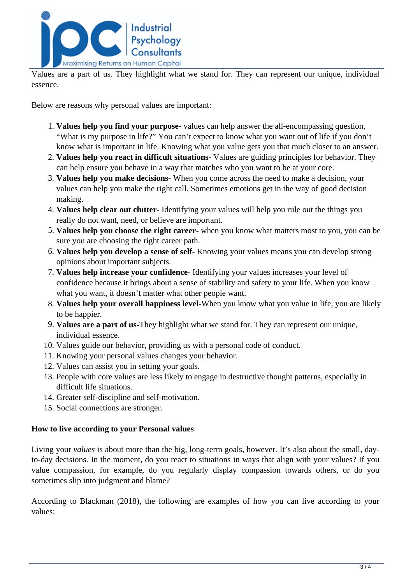

Values are a part of us. They highlight what we stand for. They can represent our unique, individual essence.

Below are reasons why personal values are important:

- 1. **Values help you find your purpose** values can help answer the all-encompassing question, "What is my purpose in life?" You can't expect to know what you want out of life if you don't know what is important in life. Knowing what you value gets you that much closer to an answer.
- 2. **Values help you react in difficult situations** Values are guiding principles for behavior. They can help ensure you behave in a way that matches who you want to be at your core.
- 3. **Values help you make decisions** When you come across the need to make a decision, your values can help you make the right call. Sometimes emotions get in the way of good decision making.
- 4. **Values help clear out clutter** Identifying your values will help you rule out the things you really do not want, need, or believe are important.
- 5. **Values help you choose the right career-** when you know what matters most to you, you can be sure you are choosing the right career path.
- 6. **Values help you develop a sense of self** Knowing your values means you can develop strong opinions about important subjects.
- 7. **Values help increase your confidence** Identifying your values increases your level of confidence because it brings about a sense of stability and safety to your life. When you know what you want, it doesn't matter what other people want.
- 8. **Values help your overall happiness level**-When you know what you value in life, you are likely to be happier.
- 9. **Values are a part of us-**They highlight what we stand for. They can represent our unique, individual essence.
- 10. Values guide our behavior, providing us with a personal code of conduct.
- 11. Knowing your personal values changes your behavior.
- 12. Values can assist you in setting your goals.
- 13. People with core values are less likely to engage in destructive thought patterns, especially in difficult life situations.
- 14. Greater self-discipline and self-motivation.
- 15. Social connections are stronger.

# **How to live according to your Personal values**

Living your *values* is about more than the big, long-term goals, however. It's also about the small, dayto-day decisions. In the moment, do you react to situations in ways that align with your values? If you value compassion, for example, do you regularly display compassion towards others, or do you sometimes slip into judgment and blame?

According to Blackman (2018), the following are examples of how you can live according to your values: